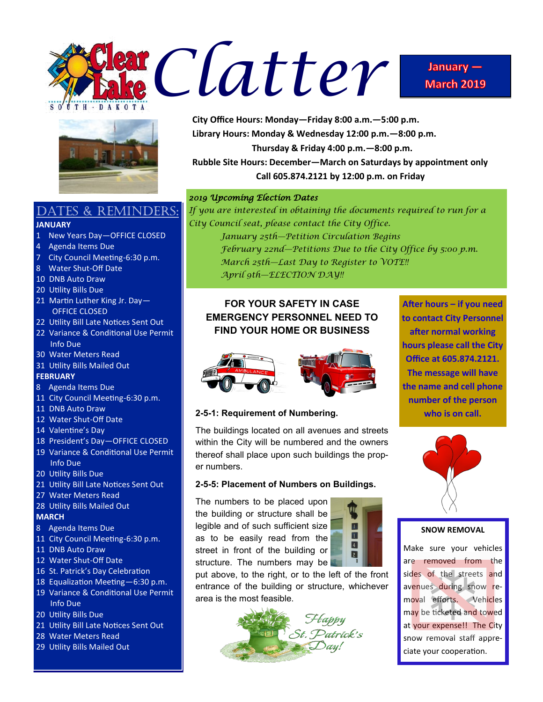





## DATES & REMINDERS:

#### **JANUARY**

- 1 New Years Day—OFFICE CLOSED
- 4 Agenda Items Due
- 7 City Council Meeting-6:30 p.m.
- 8 Water Shut-Off Date
- 10 DNB Auto Draw
- 20 Utility Bills Due
- 21 Martin Luther King Jr. Day— OFFICE CLOSED
- 22 Utility Bill Late Notices Sent Out
- 22 Variance & Conditional Use Permit Info Due
- 30 Water Meters Read
- 31 Utility Bills Mailed Out

#### **FEBRUARY**

- 8 Agenda Items Due
- 11 City Council Meeting-6:30 p.m.
- 11 DNB Auto Draw
- 12 Water Shut-Off Date
- 14 Valentine's Day
- 18 President's Day—OFFICE CLOSED
- 19 Variance & Conditional Use Permit Info Due
- 20 Utility Bills Due
- 21 Utility Bill Late Notices Sent Out
- 27 Water Meters Read
- 28 Utility Bills Mailed Out

#### **MARCH**

- 8 Agenda Items Due
- 11 City Council Meeting-6:30 p.m.
- 11 DNB Auto Draw
- 12 Water Shut-Off Date
- 16 St. Patrick's Day Celebration
- 18 Equalization Meeting—6:30 p.m.
- 19 Variance & Conditional Use Permit Info Due
- 20 Utility Bills Due
- 21 Utility Bill Late Notices Sent Out
- 28 Water Meters Read
- 29 Utility Bills Mailed Out

**City Office Hours: Monday—Friday 8:00 a.m.—5:00 p.m. Library Hours: Monday & Wednesday 12:00 p.m.—8:00 p.m. Thursday & Friday 4:00 p.m.—8:00 p.m. Rubble Site Hours: December—March on Saturdays by appointment only Call 605.874.2121 by 12:00 p.m. on Friday**

#### *2019 Upcoming Election Dates*

*If you are interested in obtaining the documents required to run for a City Council seat, please contact the City Office.*

*January 25th—Petition Circulation Begins February 22nd—Petitions Due to the City Office by 5:00 p.m. March 25th—Last Day to Register to VOTE!! April 9th—ELECTION DAY!!*

## **FOR YOUR SAFETY IN CASE EMERGENCY PERSONNEL NEED TO FIND YOUR HOME OR BUSINESS**



**After hours – if you need to contact City Personnel after normal working hours please call the City Office at 605.874.2121. The message will have the name and cell phone number of the person who is on call.**

#### **2-5-1: Requirement of Numbering.**

The buildings located on all avenues and streets within the City will be numbered and the owners thereof shall place upon such buildings the proper numbers.

#### **2-5-5: Placement of Numbers on Buildings.**

The numbers to be placed upon the building or structure shall be legible and of such sufficient size as to be easily read from the street in front of the building or structure. The numbers may be



put above, to the right, or to the left of the front entrance of the building or structure, whichever area is the most feasible.





#### **SNOW REMOVAL**

Make sure your vehicles are removed from the sides of the streets and avenues during snow removal efforts. Vehicles may be ticketed and towed at your expense!! The City snow removal staff appreciate your cooperation.